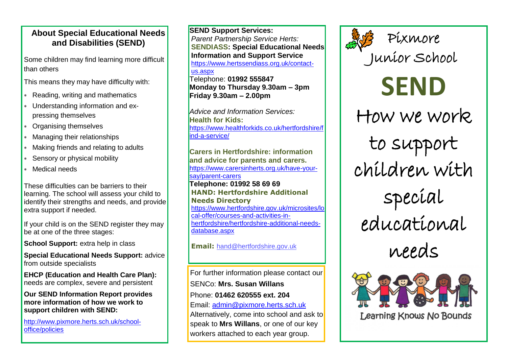### **About Special Educational Needs and Disabilities (SEND)**

Some children may find learning more difficult than others

This means they may have difficulty with:

- Reading, writing and mathematics
- Understanding information and expressing themselves
- Organising themselves
- Managing their relationships
- Making friends and relating to adults
- Sensory or physical mobility
- Medical needs

These difficulties can be barriers to their learning. The school will assess your child to identify their strengths and needs, and provide extra support if needed.

If your child is on the SEND register they may be at one of the three stages:

**School Support:** extra help in class

**Special Educational Needs Support:** advice from outside specialists

**EHCP (Education and Health Care Plan):**  needs are complex, severe and persistent

**Our SEND Information Report provides more information of how we work to support children with SEND:**

[http://www.pixmore.herts.sch.uk/school](http://www.pixmore.herts.sch.uk/school-office/policies)[office/policies](http://www.pixmore.herts.sch.uk/school-office/policies)

**SEND Support Services:** *Parent Partnership Service Herts:*  **SENDIASS: Special Educational Needs Information and Support Service** [https://www.hertssendiass.org.uk/contact](https://www.hertssendiass.org.uk/contact-us.aspx)[us.aspx](https://www.hertssendiass.org.uk/contact-us.aspx) Telephone: **01992 555847**

**Monday to Thursday 9.30am – 3pm Friday 9.30am – 2.00pm**

*Advice and Information Services:* **Health for Kids:**  [https://www.healthforkids.co.uk/hertfordshire/f](https://www.healthforkids.co.uk/hertfordshire/find-a-service/) [ind-a-service/](https://www.healthforkids.co.uk/hertfordshire/find-a-service/)

**Carers in Hertfordshire: information and advice for parents and carers.** [https://www.carersinherts.org.uk/have-your](https://www.carersinherts.org.uk/have-your-say/parent-carers)[say/parent-carers](https://www.carersinherts.org.uk/have-your-say/parent-carers) **Telephone: 01992 58 69 69 HAND: Hertfordshire Additional Needs Directory** [https://www.hertfordshire.gov.uk/microsites/lo](https://www.hertfordshire.gov.uk/microsites/local-offer/courses-and-activities-in-hertfordshire/hertfordshire-additional-needs-database.aspx) [cal-offer/courses-and-activities-in](https://www.hertfordshire.gov.uk/microsites/local-offer/courses-and-activities-in-hertfordshire/hertfordshire-additional-needs-database.aspx)[hertfordshire/hertfordshire-additional-needs](https://www.hertfordshire.gov.uk/microsites/local-offer/courses-and-activities-in-hertfordshire/hertfordshire-additional-needs-database.aspx)[database.aspx](https://www.hertfordshire.gov.uk/microsites/local-offer/courses-and-activities-in-hertfordshire/hertfordshire-additional-needs-database.aspx)

**Email:** [hand@hertfordshire.gov.uk](mailto:hand@hertfordshire.gov.uk)

For further information please contact our SENCo: **Mrs. Susan Willans** Phone: **01462 620555 ext. 204** Email: [admin@pixmore.herts.sch.uk](mailto:admin@pixmore.herts.sch.uk) Alternatively, come into school and ask to

speak to **Mrs Willans**, or one of our key workers attached to each year group.



# **SEND** How we work. to support children with special educational

needs